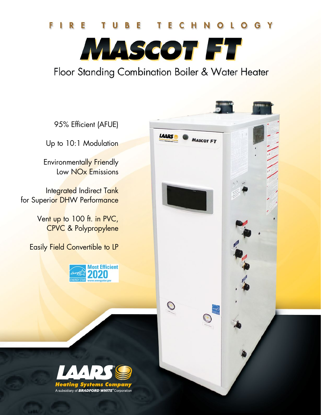## G Y

NASCOT FT

Floor Standing Combination Boiler & Water Heater

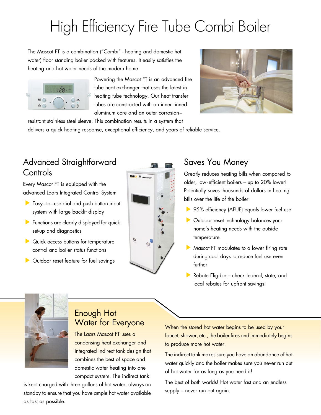# High Efficiency Fire Tube Combi Boiler

The Mascot FT is a combination ("Combi" - heating and domestic hot water) floor standing boiler packed with features. It easily satisfies the heating and hot water needs of the modern home.



Powering the Mascot FT is an advanced fire tube heat exchanger that uses the latest in heating tube technology. Our heat transfer tubes are constructed with an inner finned aluminum core and an outer corrosion–



resistant stainless steel sleeve. This combination results in a system that delivers a quick heating response, exceptional efficiency, and years of reliable service.

## Advanced Straightforward **Controls**

Every Mascot FT is equipped with the advanced Laars Integrated Control System

- Easy-to-use dial and push button input system with large backlit display
- **Functions are clearly displayed for quick** set-up and diagnostics
- **Quick access buttons for temperature** control and boiler status functions
- **Dutdoor reset feature for fuel savings**



## Saves You Money

Greatly reduces heating bills when compared to older, low-efficient boilers – up to 20% lower! Potentially saves thousands of dollars in heating bills over the life of the boiler.

- ▶ 95% efficiency (AFUE) equals lower fuel use
- **Dutdoor reset technology balances your** home's heating needs with the outside temperature
- Mascot FT modulates to a lower firing rate during cool days to reduce fuel use even further
- Rebate Eligible check federal, state, and local rebates for upfront savings!



#### Enough Hot Water for Everyone

The Laars Mascot FT uses a condensing heat exchanger and integrated indirect tank design that combines the best of space and domestic water heating into one compact system. The indirect tank

is kept charged with three gallons of hot water, always on standby to ensure that you have ample hot water available as fast as possible.

When the stored hot water begins to be used by your faucet, shower, etc., the boiler fires and immediately begins to produce more hot water.

The indirect tank makes sure you have an abundance of hot water quickly and the boiler makes sure you never run out of hot water for as long as you need it!

The best of both worlds! Hot water fast and an endless supply – never run out again.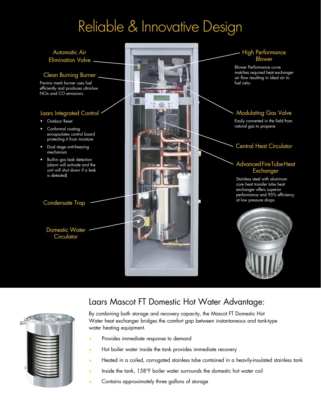## Reliable & Innovative Design





### Laars Mascot FT Domestic Hot Water Advantage:

By combining both storage and recovery capacity, the Mascot FT Domestic Hot Water heat exchanger bridges the comfort gap between instantaneous and tank-type water heating equipment.

- Provides immediate response to demand
- Hot boiler water inside the tank provides immediate recovery
- Heated in a coiled, corrugated stainless tube contained in a heavily-insulated stainless tank
- Inside the tank,  $158^\circ$ F boiler water surrounds the domestic hot water coil
- Contains approximately three gallons of storage